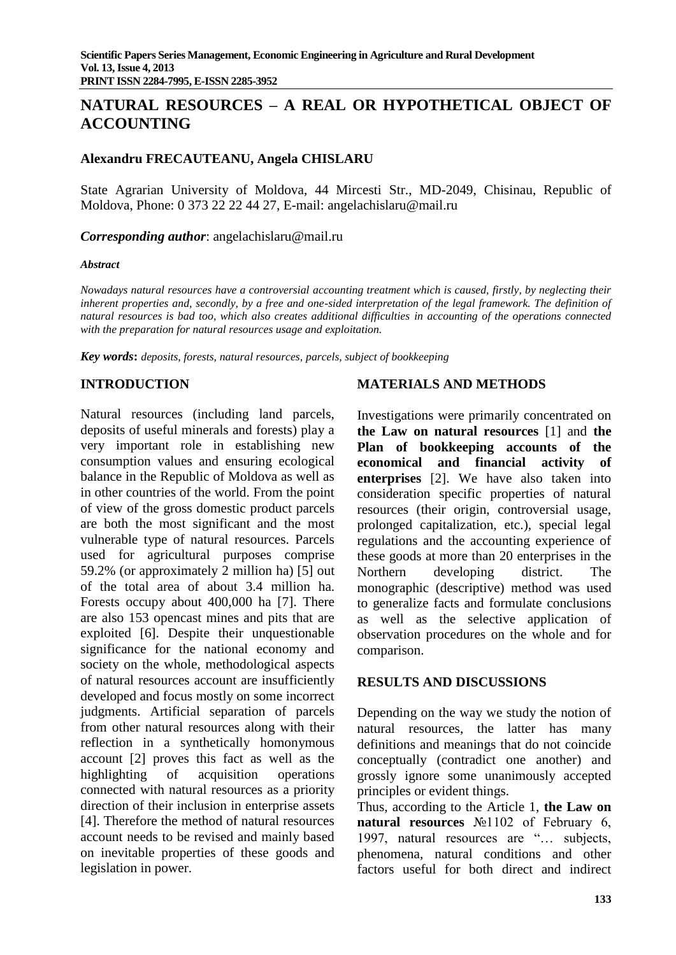# **NATURAL RESOURCES – A REAL OR HYPOTHETICAL OBJECT OF ACCOUNTING**

## **Alexandru FRECAUTEANU, Angela CHISLARU**

State Agrarian University of Moldova, 44 Mircesti Str., MD-2049, Chisinau, Republic of Moldova, Phone: 0 373 22 22 44 27, E-mail: angelachislaru@mail.ru

*Corresponding author*: angelachislaru@mail.ru

#### *Abstract*

*Nowadays natural resources have a controversial accounting treatment which is caused, firstly, by neglecting their*  inherent properties and, secondly, by a free and one-sided interpretation of the legal framework. The definition of *natural resources is bad too, which also creates additional difficulties in accounting of the operations connected with the preparation for natural resources usage and exploitation.* 

*Key words***:** *deposits, forests, natural resources, parcels, subject of bookkeeping*

## **INTRODUCTION**

Natural resources (including land parcels, deposits of useful minerals and forests) play a very important role in establishing new consumption values and ensuring ecological balance in the Republic of Moldova as well as in other countries of the world. From the point of view of the gross domestic product parcels are both the most significant and the most vulnerable type of natural resources. Parcels used for agricultural purposes comprise 59.2% (or approximately 2 million ha) [5] out of the total area of about 3.4 million ha. Forests occupy about 400,000 ha [7]. There are also 153 opencast mines and pits that are exploited [6]. Despite their unquestionable significance for the national economy and society on the whole, methodological aspects of natural resources account are insufficiently developed and focus mostly on some incorrect judgments. Artificial separation of parcels from other natural resources along with their reflection in a synthetically homonymous account [2] proves this fact as well as the highlighting of acquisition operations connected with natural resources as a priority direction of their inclusion in enterprise assets [4]. Therefore the method of natural resources account needs to be revised and mainly based on inevitable properties of these goods and legislation in power.

## **MATERIALS AND METHODS**

Investigations were primarily concentrated on **the Law on natural resources** [1] and **the Plan of bookkeeping accounts of the economical and financial activity of enterprises** [2]. We have also taken into consideration specific properties of natural resources (their origin, controversial usage, prolonged capitalization, etc.), special legal regulations and the accounting experience of these goods at more than 20 enterprises in the Northern developing district. The monographic (descriptive) method was used to generalize facts and formulate conclusions as well as the selective application of observation procedures on the whole and for comparison.

#### **RESULTS AND DISCUSSIONS**

Depending on the way we study the notion of natural resources, the latter has many definitions and meanings that do not coincide conceptually (contradict one another) and grossly ignore some unanimously accepted principles or evident things.

Thus, according to the Article 1, **the Law on natural resources** №1102 of February 6, 1997, natural resources are "… subjects, phenomena, natural conditions and other factors useful for both direct and indirect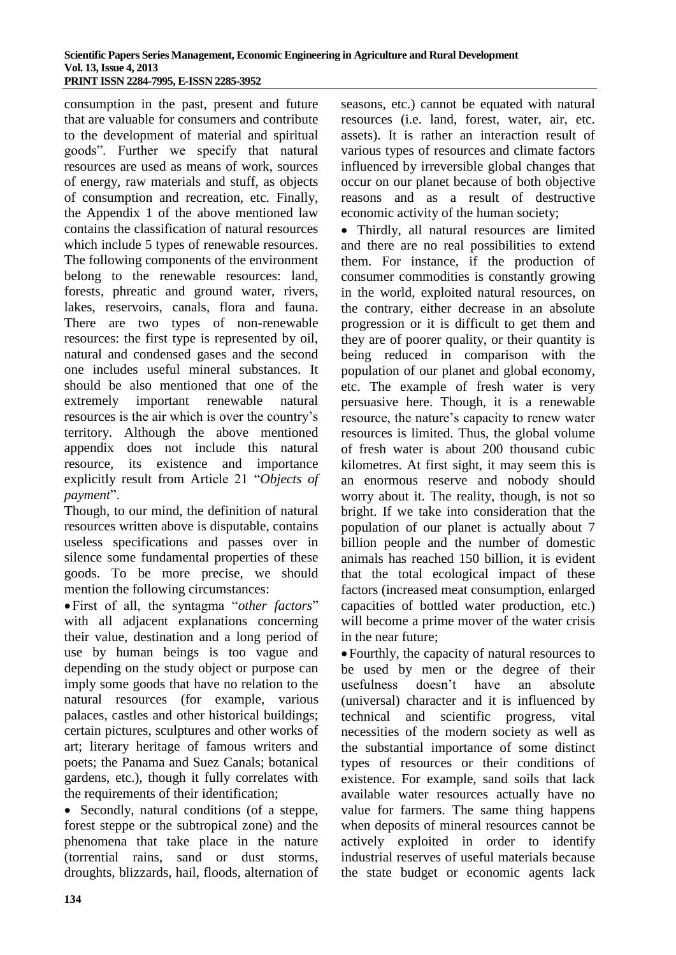consumption in the past, present and future that are valuable for consumers and contribute to the development of material and spiritual goods". Further we specify that natural resources are used as means of work, sources of energy, raw materials and stuff, as objects of consumption and recreation, etc. Finally, the Appendix 1 of the above mentioned law contains the classification of natural resources which include 5 types of renewable resources. The following components of the environment belong to the renewable resources: land, forests, phreatic and ground water, rivers, lakes, reservoirs, canals, flora and fauna. There are two types of non-renewable resources: the first type is represented by oil, natural and condensed gases and the second one includes useful mineral substances. It should be also mentioned that one of the extremely important renewable natural resources is the air which is over the country's territory. Although the above mentioned appendix does not include this natural resource, its existence and importance explicitly result from Article 21 "*Objects of payment*".

Though, to our mind, the definition of natural resources written above is disputable, contains useless specifications and passes over in silence some fundamental properties of these goods. To be more precise, we should mention the following circumstances:

First of all, the syntagma "*other factors*" with all adjacent explanations concerning their value, destination and a long period of use by human beings is too vague and depending on the study object or purpose can imply some goods that have no relation to the natural resources (for example, various palaces, castles and other historical buildings; certain pictures, sculptures and other works of art; literary heritage of famous writers and poets; the Panama and Suez Canals; botanical gardens, etc.), though it fully correlates with the requirements of their identification;

• Secondly, natural conditions (of a steppe, forest steppe or the subtropical zone) and the phenomena that take place in the nature (torrential rains, sand or dust storms, droughts, blizzards, hail, floods, alternation of

seasons, etc.) cannot be equated with natural resources (i.e. land, forest, water, air, etc. assets). It is rather an interaction result of various types of resources and climate factors influenced by irreversible global changes that occur on our planet because of both objective reasons and as a result of destructive economic activity of the human society;

 Thirdly, all natural resources are limited and there are no real possibilities to extend them. For instance, if the production of consumer commodities is constantly growing in the world, exploited natural resources, on the contrary, either decrease in an absolute progression or it is difficult to get them and they are of poorer quality, or their quantity is being reduced in comparison with the population of our planet and global economy, etc. The example of fresh water is very persuasive here. Though, it is a renewable resource, the nature's capacity to renew water resources is limited. Thus, the global volume of fresh water is about 200 thousand cubic kilometres. At first sight, it may seem this is an enormous reserve and nobody should worry about it. The reality, though, is not so bright. If we take into consideration that the population of our planet is actually about 7 billion people and the number of domestic animals has reached 150 billion, it is evident that the total ecological impact of these factors (increased meat consumption, enlarged capacities of bottled water production, etc.) will become a prime mover of the water crisis in the near future;

Fourthly, the capacity of natural resources to be used by men or the degree of their usefulness doesn't have an absolute (universal) character and it is influenced by technical and scientific progress, vital necessities of the modern society as well as the substantial importance of some distinct types of resources or their conditions of existence. For example, sand soils that lack available water resources actually have no value for farmers. The same thing happens when deposits of mineral resources cannot be actively exploited in order to identify industrial reserves of useful materials because the state budget or economic agents lack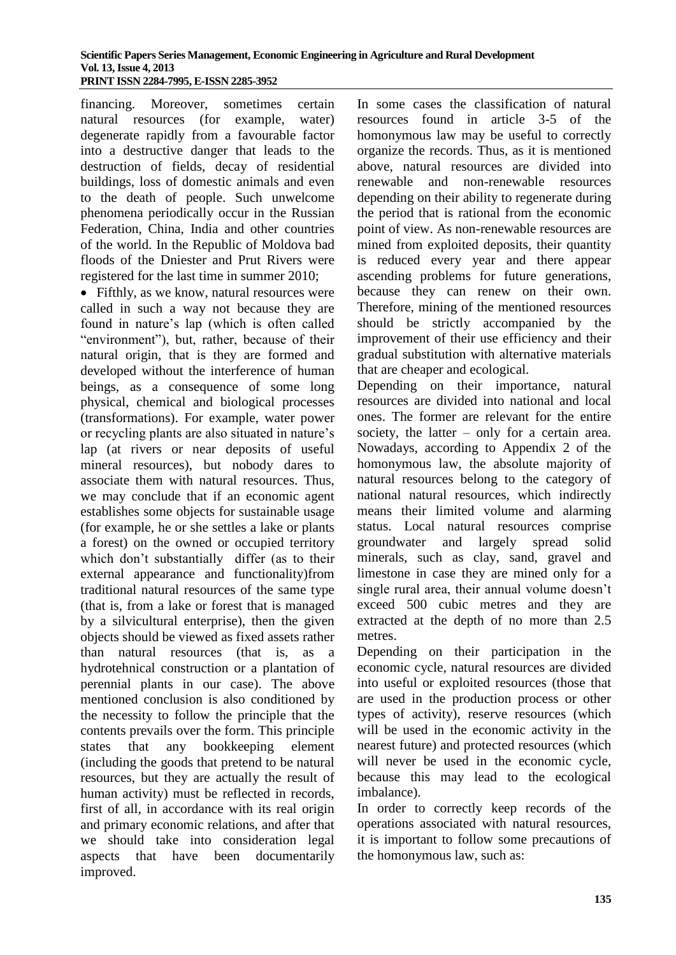financing. Moreover, sometimes certain natural resources (for example, water) degenerate rapidly from a favourable factor into a destructive danger that leads to the destruction of fields, decay of residential buildings, loss of domestic animals and even to the death of people. Such unwelcome phenomena periodically occur in the Russian Federation, China, India and other countries of the world. In the Republic of Moldova bad floods of the Dniester and Prut Rivers were registered for the last time in summer 2010;

• Fifthly, as we know, natural resources were called in such a way not because they are found in nature's lap (which is often called "environment"), but, rather, because of their natural origin, that is they are formed and developed without the interference of human beings, as a consequence of some long physical, chemical and biological processes (transformations). For example, water power or recycling plants are also situated in nature's lap (at rivers or near deposits of useful mineral resources), but nobody dares to associate them with natural resources. Thus, we may conclude that if an economic agent establishes some objects for sustainable usage (for example, he or she settles a lake or plants a forest) on the owned or occupied territory which don't substantially differ (as to their external appearance and functionality)from traditional natural resources of the same type (that is, from a lake or forest that is managed by a silvicultural enterprise), then the given objects should be viewed as fixed assets rather than natural resources (that is, as a hydrotehnical construction or a plantation of perennial plants in our case). The above mentioned conclusion is also conditioned by the necessity to follow the principle that the contents prevails over the form. This principle states that any bookkeeping element (including the goods that pretend to be natural resources, but they are actually the result of human activity) must be reflected in records, first of all, in accordance with its real origin and primary economic relations, and after that we should take into consideration legal aspects that have been documentarily improved.

In some cases the classification of natural resources found in article 3-5 of the homonymous law may be useful to correctly organize the records. Thus, as it is mentioned above, natural resources are divided into renewable and non-renewable resources depending on their ability to regenerate during the period that is rational from the economic point of view. As non-renewable resources are mined from exploited deposits, their quantity is reduced every year and there appear ascending problems for future generations, because they can renew on their own. Therefore, mining of the mentioned resources should be strictly accompanied by the improvement of their use efficiency and their gradual substitution with alternative materials that are cheaper and ecological.

Depending on their importance, natural resources are divided into national and local ones. The former are relevant for the entire society, the latter – only for a certain area. Nowadays, according to Appendix 2 of the homonymous law, the absolute majority of natural resources belong to the category of national natural resources, which indirectly means their limited volume and alarming status. Local natural resources comprise groundwater and largely spread solid minerals, such as clay, sand, gravel and limestone in case they are mined only for a single rural area, their annual volume doesn't exceed 500 cubic metres and they are extracted at the depth of no more than 2.5 metres.

Depending on their participation in the economic cycle, natural resources are divided into useful or exploited resources (those that are used in the production process or other types of activity), reserve resources (which will be used in the economic activity in the nearest future) and protected resources (which will never be used in the economic cycle, because this may lead to the ecological imbalance).

In order to correctly keep records of the operations associated with natural resources, it is important to follow some precautions of the homonymous law, such as: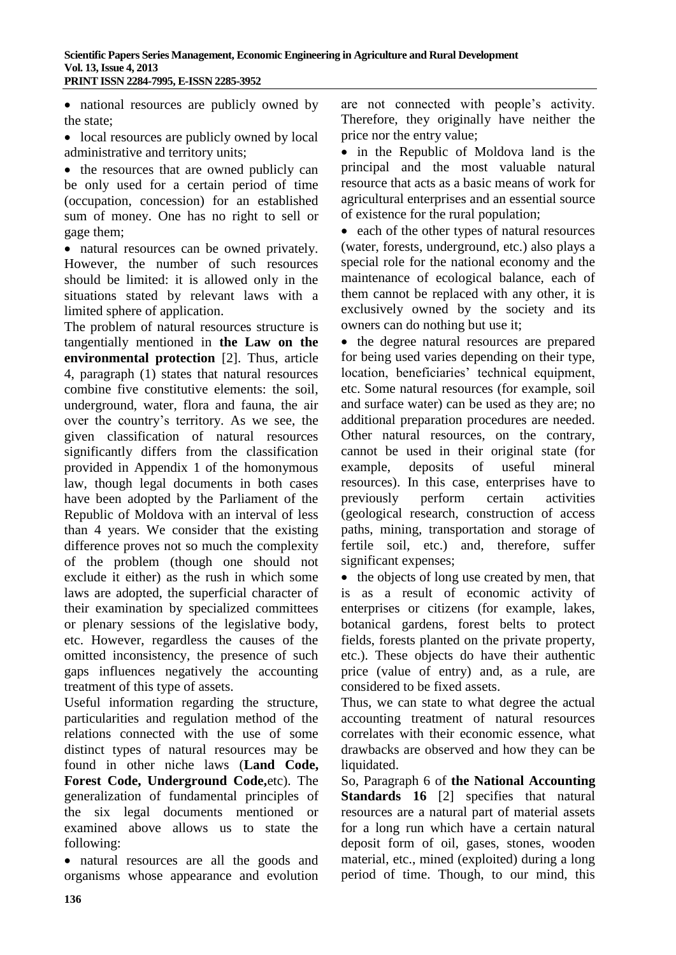national resources are publicly owned by the state;

• local resources are publicly owned by local administrative and territory units;

• the resources that are owned publicly can be only used for a certain period of time (occupation, concession) for an established sum of money. One has no right to sell or gage them;

 natural resources can be owned privately. However, the number of such resources should be limited: it is allowed only in the situations stated by relevant laws with a limited sphere of application.

The problem of natural resources structure is tangentially mentioned in **the Law on the environmental protection** [2]. Thus, article 4, paragraph (1) states that natural resources combine five constitutive elements: the soil, underground, water, flora and fauna, the air over the country's territory. As we see, the given classification of natural resources significantly differs from the classification provided in Appendix 1 of the homonymous law, though legal documents in both cases have been adopted by the Parliament of the Republic of Moldova with an interval of less than 4 years. We consider that the existing difference proves not so much the complexity of the problem (though one should not exclude it either) as the rush in which some laws are adopted, the superficial character of their examination by specialized committees or plenary sessions of the legislative body, etc. However, regardless the causes of the omitted inconsistency, the presence of such gaps influences negatively the accounting treatment of this type of assets.

Useful information regarding the structure, particularities and regulation method of the relations connected with the use of some distinct types of natural resources may be found in other niche laws (**Land Code, Forest Code, Underground Code,**etc). The generalization of fundamental principles of the six legal documents mentioned or examined above allows us to state the following:

 natural resources are all the goods and organisms whose appearance and evolution are not connected with people's activity. Therefore, they originally have neither the price nor the entry value;

• in the Republic of Moldova land is the principal and the most valuable natural resource that acts as a basic means of work for agricultural enterprises and an essential source of existence for the rural population;

• each of the other types of natural resources (water, forests, underground, etc.) also plays a special role for the national economy and the maintenance of ecological balance, each of them cannot be replaced with any other, it is exclusively owned by the society and its owners can do nothing but use it;

• the degree natural resources are prepared for being used varies depending on their type, location, beneficiaries' technical equipment, etc. Some natural resources (for example, soil and surface water) can be used as they are; no additional preparation procedures are needed. Other natural resources, on the contrary, cannot be used in their original state (for example, deposits of useful mineral resources). In this case, enterprises have to previously perform certain activities (geological research, construction of access paths, mining, transportation and storage of fertile soil, etc.) and, therefore, suffer significant expenses;

• the objects of long use created by men, that is as a result of economic activity of enterprises or citizens (for example, lakes, botanical gardens, forest belts to protect fields, forests planted on the private property, etc.). These objects do have their authentic price (value of entry) and, as a rule, are considered to be fixed assets.

Thus, we can state to what degree the actual accounting treatment of natural resources correlates with their economic essence, what drawbacks are observed and how they can be liquidated.

So, Paragraph 6 of **the National Accounting Standards 16** [2] specifies that natural resources are a natural part of material assets for a long run which have a certain natural deposit form of oil, gases, stones, wooden material, etc., mined (exploited) during a long period of time. Though, to our mind, this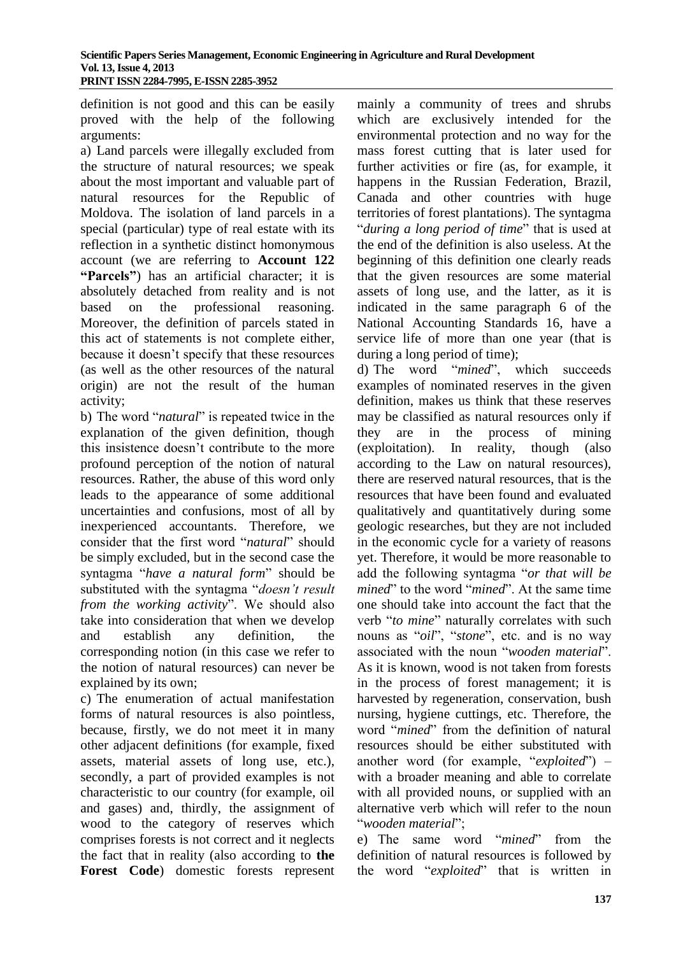definition is not good and this can be easily proved with the help of the following arguments:

a) Land parcels were illegally excluded from the structure of natural resources; we speak about the most important and valuable part of natural resources for the Republic of Moldova. The isolation of land parcels in a special (particular) type of real estate with its reflection in a synthetic distinct homonymous account (we are referring to **Account 122 "Parcels"**) has an artificial character; it is absolutely detached from reality and is not based on the professional reasoning. Moreover, the definition of parcels stated in this act of statements is not complete either, because it doesn't specify that these resources (as well as the other resources of the natural origin) are not the result of the human activity;

b) The word "*natural*" is repeated twice in the explanation of the given definition, though this insistence doesn't contribute to the more profound perception of the notion of natural resources. Rather, the abuse of this word only leads to the appearance of some additional uncertainties and confusions, most of all by inexperienced accountants. Therefore, we consider that the first word "*natural*" should be simply excluded, but in the second case the syntagma "*have a natural form*" should be substituted with the syntagma "*doesn't result from the working activity*". We should also take into consideration that when we develop and establish any definition, the corresponding notion (in this case we refer to the notion of natural resources) can never be explained by its own;

c) The enumeration of actual manifestation forms of natural resources is also pointless, because, firstly, we do not meet it in many other adjacent definitions (for example, fixed assets, material assets of long use, etc.), secondly, a part of provided examples is not characteristic to our country (for example, oil and gases) and, thirdly, the assignment of wood to the category of reserves which comprises forests is not correct and it neglects the fact that in reality (also according to **the Forest Code**) domestic forests represent mainly a community of trees and shrubs which are exclusively intended for the environmental protection and no way for the mass forest cutting that is later used for further activities or fire (as, for example, it happens in the Russian Federation, Brazil, Canada and other countries with huge territories of forest plantations). The syntagma "*during a long period of time*" that is used at the end of the definition is also useless. At the beginning of this definition one clearly reads that the given resources are some material assets of long use, and the latter, as it is indicated in the same paragraph 6 of the National Accounting Standards 16, have a service life of more than one year (that is during a long period of time);

d) The word "*mined*", which succeeds examples of nominated reserves in the given definition, makes us think that these reserves may be classified as natural resources only if they are in the process of mining (exploitation). In reality, though (also according to the Law on natural resources), there are reserved natural resources, that is the resources that have been found and evaluated qualitatively and quantitatively during some geologic researches, but they are not included in the economic cycle for a variety of reasons yet. Therefore, it would be more reasonable to add the following syntagma "*or that will be mined*" to the word "*mined*". At the same time one should take into account the fact that the verb "*to mine*" naturally correlates with such nouns as "*oil*", "*stone*", etc. and is no way associated with the noun "*wooden material*". As it is known, wood is not taken from forests in the process of forest management; it is harvested by regeneration, conservation, bush nursing, hygiene cuttings, etc. Therefore, the word "*mined*" from the definition of natural resources should be either substituted with another word (for example, "*exploited*") – with a broader meaning and able to correlate with all provided nouns, or supplied with an alternative verb which will refer to the noun "*wooden material*";

e) The same word "*mined*" from the definition of natural resources is followed by the word "*exploited*" that is written in